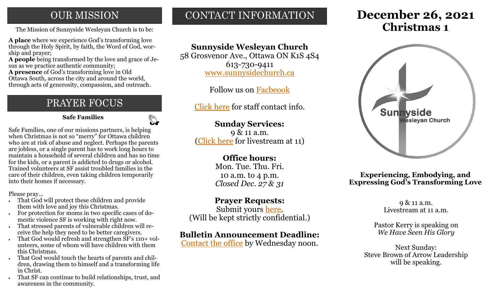### **OUR MISSION**

**A place** where we experience God's transforming love through the Holy Spirit, by faith, the Word of God, worship and prayer;

**A people** being transformed by the love and grace of Jesus as we practice authentic community;

**A presence** of God's transforming love in Old Ottawa South, across the city and around the world, through acts of generosity, compassion, and outreach.

# PRAYER FOCUS

 **Safe Families**

Safe Families, one of our missions partners, is helping when Christmas is not so "merry" for Ottawa children who are at risk of abuse and neglect. Perhaps the parents are jobless, or a single parent has to work long hours to maintain a household of several children and has no time for the kids, or a parent is addicted to drugs or alcohol. Trained volunteers at SF assist troubled families in the care of their children, even taking children temporarily into their homes if necessary.

Please pray...

- That God will protect these children and provide them with love and joy this Christmas.
- For protection for moms in two specific cases of domestic violence SF is working with right now.
- That stressed parents of vulnerable children will receive the help they need to be better caregivers.
- That God would refresh and strengthen SF's 110+ volunteers, some of whom will have children with them this Christmas.
- That God would touch the hearts of parents and children, drawing them to himself and a transforming life in Christ.
- That SF can continue to build relationships, trust, and awareness in the community.

# CONTACT INFORMATION

### **Sunnyside Wesleyan Church**

58 Grosvenor Ave., Ottawa ON K1S 4S4 613-730-9411 [www.sunnysidechurch.ca](http://www.sunnysidechurch.ca)

Follow us on [Facbeook](http://www.facebook.com/sunnysidewesleyanchurch)

[Click here](http://www.sunnysidechurch.ca/about-sunnyside/staff/) for staff contact info.

### **Sunday Services:**

9 & 11 a.m. ([Click here](https://youtube.com/channel/UCYfl9Qy37Az7fqqFQpDEwjg) for livestream at 11)

### **Office hours:**

Mon. Tue. Thu. Fri. 10 a.m. to 4 p.m. *Closed Dec. 27 & 31*

### **Prayer Requests:**

Submit yours [here.](mailto:prayer@sunnysidechurch.ca) (Will be kept strictly confidential.)

### **Bulletin Announcement Deadline:**

[Contact the office](mailto:office@sunnysidechurch.ca) by Wednesday noon.

# **December 26, 2021** The Mission of Sunnyside Wesleyan Church is to be: **Christmas 1**



**Experiencing, Embodying, and Expressing God's Transforming Love**

> 9 & 11 a.m. Livestream at 11 a.m.

Pastor Kerry is speaking on *We Have Seen His Glory* 

Next Sunday: Steve Brown of Arrow Leadership will be speaking.